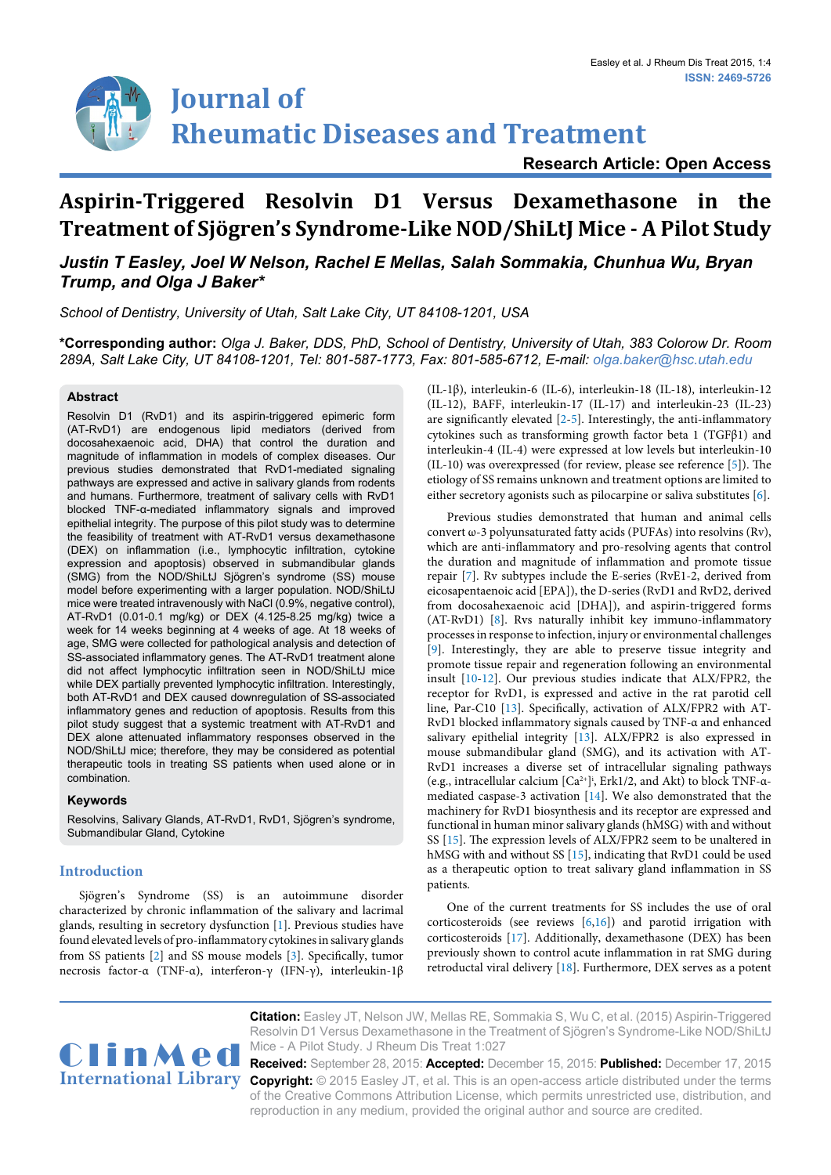# **Journal of Rheumatic Diseases and Treatment**

**Research Article: Open Access**

# **Aspirin-Triggered Resolvin D1 Versus Dexamethasone in the Treatment of Sjögren's Syndrome-Like NOD/ShiLtJ Mice - A Pilot Study**

# *Justin T Easley, Joel W Nelson, Rachel E Mellas, Salah Sommakia, Chunhua Wu, Bryan Trump, and Olga J Baker\**

*School of Dentistry, University of Utah, Salt Lake City, UT 84108-1201, USA*

**\*Corresponding author:** *Olga J. Baker, DDS, PhD, School of Dentistry, University of Utah, 383 Colorow Dr. Room 289A, Salt Lake City, UT 84108-1201, Tel: 801-587-1773, Fax: 801-585-6712, E-mail: olga.baker@hsc.utah.edu*

## **Abstract**

Resolvin D1 (RvD1) and its aspirin-triggered epimeric form (AT-RvD1) are endogenous lipid mediators (derived from docosahexaenoic acid, DHA) that control the duration and magnitude of inflammation in models of complex diseases. Our previous studies demonstrated that RvD1-mediated signaling pathways are expressed and active in salivary glands from rodents and humans. Furthermore, treatment of salivary cells with RvD1 blocked TNF-α-mediated inflammatory signals and improved epithelial integrity. The purpose of this pilot study was to determine the feasibility of treatment with AT-RvD1 versus dexamethasone (DEX) on inflammation (i.e., lymphocytic infiltration, cytokine expression and apoptosis) observed in submandibular glands (SMG) from the NOD/ShiLtJ Sjögren's syndrome (SS) mouse model before experimenting with a larger population. NOD/ShiLtJ mice were treated intravenously with NaCl (0.9%, negative control), AT-RvD1 (0.01-0.1 mg/kg) or DEX (4.125-8.25 mg/kg) twice a week for 14 weeks beginning at 4 weeks of age. At 18 weeks of age, SMG were collected for pathological analysis and detection of SS-associated inflammatory genes. The AT-RvD1 treatment alone did not affect lymphocytic infiltration seen in NOD/ShiLtJ mice while DEX partially prevented lymphocytic infiltration. Interestingly, both AT-RvD1 and DEX caused downregulation of SS-associated inflammatory genes and reduction of apoptosis. Results from this pilot study suggest that a systemic treatment with AT-RvD1 and DEX alone attenuated inflammatory responses observed in the NOD/ShiLtJ mice; therefore, they may be considered as potential therapeutic tools in treating SS patients when used alone or in combination.

# **Keywords**

Resolvins, Salivary Glands, AT-RvD1, RvD1, Sjögren's syndrome, Submandibular Gland, Cytokine

# **Introduction**

Sjögren's Syndrome (SS) is an autoimmune disorder characterized by chronic inflammation of the salivary and lacrimal glands, resulting in secretory dysfunction [[1](#page-4-0)]. Previous studies have found elevated levels of pro-inflammatory cytokines in salivary glands from SS patients [\[2](#page-4-1)] and SS mouse models [\[3\]](#page-4-2). Specifically, tumor necrosis factor-α (TNF-α), interferon-γ (IFN-γ), interleukin-1β

(IL-1β), interleukin-6 (IL-6), interleukin-18 (IL-18), interleukin-12 (IL-12), BAFF, interleukin-17 (IL-17) and interleukin-23 (IL-23) are significantly elevated  $[2-5]$  $[2-5]$  $[2-5]$ . Interestingly, the anti-inflammatory cytokines such as transforming growth factor beta 1 (TGFβ1) and interleukin-4 (IL-4) were expressed at low levels but interleukin-10 (IL-10) was overexpressed (for review, please see reference [\[5\]](#page-5-0)). The etiology of SS remains unknown and treatment options are limited to either secretory agonists such as pilocarpine or saliva substitutes [\[6\]](#page-5-1).

Previous studies demonstrated that human and animal cells convert ω-3 polyunsaturated fatty acids (PUFAs) into resolvins (Rv), which are anti-inflammatory and pro-resolving agents that control the duration and magnitude of inflammation and promote tissue repair [[7](#page-5-2)]. Rv subtypes include the E-series (RvE1-2, derived from eicosapentaenoic acid [EPA]), the D-series (RvD1 and RvD2, derived from docosahexaenoic acid [DHA]), and aspirin-triggered forms (AT-RvD1) [\[8\]](#page-5-3). Rvs naturally inhibit key immuno-inflammatory processes in response to infection, injury or environmental challenges [\[9\]](#page-5-4). Interestingly, they are able to preserve tissue integrity and promote tissue repair and regeneration following an environmental insult [\[10](#page-5-5)[-12\]](#page-5-6). Our previous studies indicate that ALX/FPR2, the receptor for RvD1, is expressed and active in the rat parotid cell line, Par-C10 [[13\]](#page-5-7). Specifically, activation of ALX/FPR2 with AT-RvD1 blocked inflammatory signals caused by TNF-α and enhanced salivary epithelial integrity [\[13\]](#page-5-7). ALX/FPR2 is also expressed in mouse submandibular gland (SMG), and its activation with AT-RvD1 increases a diverse set of intracellular signaling pathways (e.g., intracellular calcium  $[Ca^{2+}]$ <sup>1</sup>, Erk1/2, and Akt) to block TNF- $\alpha$ mediated caspase-3 activation [[14](#page-5-8)]. We also demonstrated that the machinery for RvD1 biosynthesis and its receptor are expressed and functional in human minor salivary glands (hMSG) with and without SS [\[15\]](#page-5-9). The expression levels of ALX/FPR2 seem to be unaltered in hMSG with and without SS [[15](#page-5-9)], indicating that RvD1 could be used as a therapeutic option to treat salivary gland inflammation in SS patients.

One of the current treatments for SS includes the use of oral corticosteroids (see reviews [[6](#page-5-1)[,16\]](#page-5-10)) and parotid irrigation with corticosteroids [\[17\]](#page-5-11). Additionally, dexamethasone (DEX) has been previously shown to control acute inflammation in rat SMG during retroductal viral delivery [[18](#page-5-12)]. Furthermore, DEX serves as a potent



**Citation:** Easley JT, Nelson JW, Mellas RE, Sommakia S, Wu C, et al. (2015) Aspirin-Triggered Resolvin D1 Versus Dexamethasone in the Treatment of Sjögren's Syndrome-Like NOD/ShiLtJ<br>Mice - A Pilot Study. J Rheum Dis Treat 1:027

International Library Copyright: © 2015 Easley JT, et al. This is an open-access article distributed under the terms **Received:** September 28, 2015: **Accepted:** December 15, 2015: **Published:** December 17, 2015 of the Creative Commons Attribution License, which permits unrestricted use, distribution, and reproduction in any medium, provided the original author and source are credited.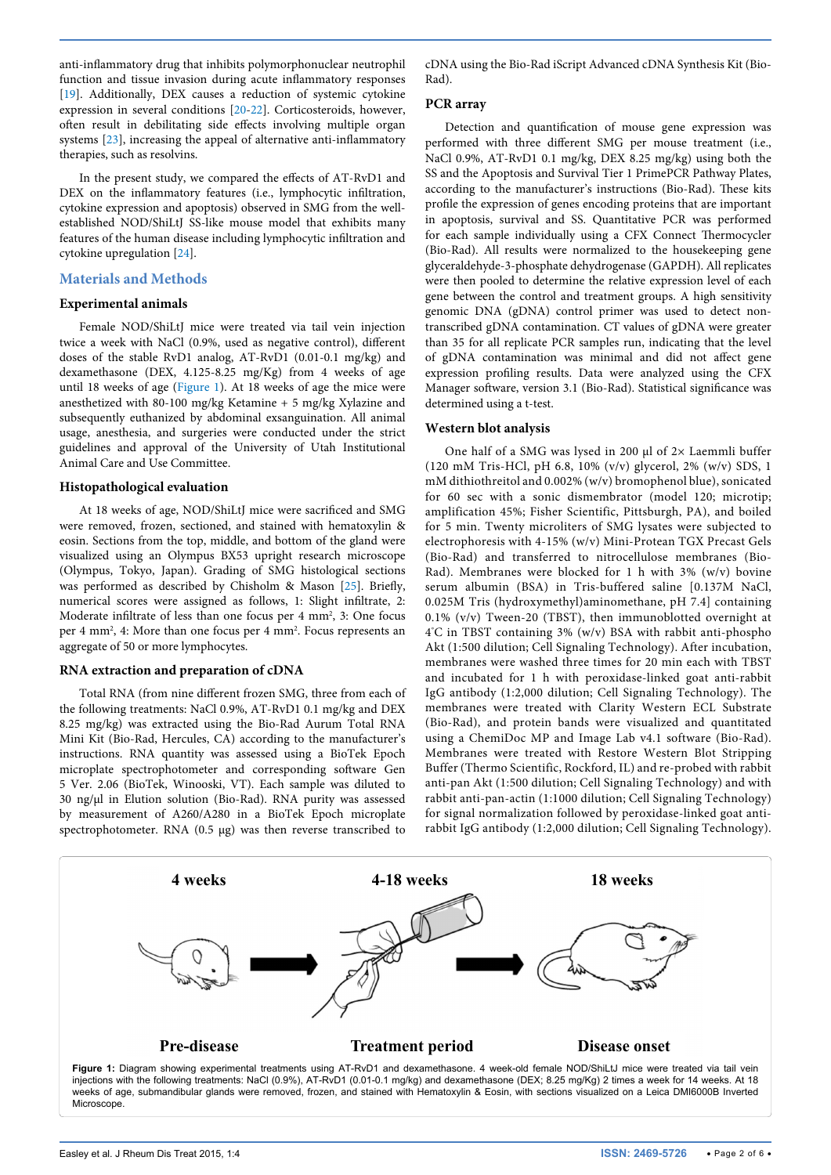anti-inflammatory drug that inhibits polymorphonuclear neutrophil function and tissue invasion during acute inflammatory responses [[19](#page-5-13)]. Additionally, DEX causes a reduction of systemic cytokine expression in several conditions [[20](#page-5-14)-[22](#page-5-15)]. Corticosteroids, however, often result in debilitating side effects involving multiple organ systems [\[23\]](#page-5-16), increasing the appeal of alternative anti-inflammatory therapies, such as resolvins.

In the present study, we compared the effects of AT-RvD1 and DEX on the inflammatory features (i.e., lymphocytic infiltration, cytokine expression and apoptosis) observed in SMG from the wellestablished NOD/ShiLtJ SS-like mouse model that exhibits many features of the human disease including lymphocytic infiltration and cytokine upregulation [\[24\]](#page-5-17).

#### **Materials and Methods**

#### **Experimental animals**

Female NOD/ShiLtJ mice were treated via tail vein injection twice a week with NaCl (0.9%, used as negative control), different doses of the stable RvD1 analog, AT-RvD1 (0.01-0.1 mg/kg) and dexamethasone (DEX, 4.125-8.25 mg/Kg) from 4 weeks of age until 18 weeks of age ([Figure 1\)](#page-1-0). At 18 weeks of age the mice were anesthetized with 80-100 mg/kg Ketamine + 5 mg/kg Xylazine and subsequently euthanized by abdominal exsanguination. All animal usage, anesthesia, and surgeries were conducted under the strict guidelines and approval of the University of Utah Institutional Animal Care and Use Committee.

#### **Histopathological evaluation**

At 18 weeks of age, NOD/ShiLtJ mice were sacrificed and SMG were removed, frozen, sectioned, and stained with hematoxylin & eosin. Sections from the top, middle, and bottom of the gland were visualized using an Olympus BX53 upright research microscope (Olympus, Tokyo, Japan). Grading of SMG histological sections was performed as described by Chisholm & Mason [[25\]](#page-5-18). Briefly, numerical scores were assigned as follows, 1: Slight infiltrate, 2: Moderate infiltrate of less than one focus per 4 mm<sup>2</sup>, 3: One focus per 4 mm<sup>2</sup>, 4: More than one focus per 4 mm<sup>2</sup>. Focus represents an aggregate of 50 or more lymphocytes.

#### **RNA extraction and preparation of cDNA**

Total RNA (from nine different frozen SMG, three from each of the following treatments: NaCl 0.9%, AT-RvD1 0.1 mg/kg and DEX 8.25 mg/kg) was extracted using the Bio-Rad Aurum Total RNA Mini Kit (Bio-Rad, Hercules, CA) according to the manufacturer's instructions. RNA quantity was assessed using a BioTek Epoch microplate spectrophotometer and corresponding software Gen 5 Ver. 2.06 (BioTek, Winooski, VT). Each sample was diluted to 30 ng/μl in Elution solution (Bio-Rad). RNA purity was assessed by measurement of A260/A280 in a BioTek Epoch microplate spectrophotometer. RNA (0.5 μg) was then reverse transcribed to cDNA using the Bio-Rad iScript Advanced cDNA Synthesis Kit (Bio-Rad).

#### **PCR array**

Detection and quantification of mouse gene expression was performed with three different SMG per mouse treatment (i.e., NaCl 0.9%, AT-RvD1 0.1 mg/kg, DEX 8.25 mg/kg) using both the SS and the Apoptosis and Survival Tier 1 PrimePCR Pathway Plates, according to the manufacturer's instructions (Bio-Rad). These kits profile the expression of genes encoding proteins that are important in apoptosis, survival and SS. Quantitative PCR was performed for each sample individually using a CFX Connect Thermocycler (Bio-Rad). All results were normalized to the housekeeping gene glyceraldehyde-3-phosphate dehydrogenase (GAPDH). All replicates were then pooled to determine the relative expression level of each gene between the control and treatment groups. A high sensitivity genomic DNA (gDNA) control primer was used to detect nontranscribed gDNA contamination. CT values of gDNA were greater than 35 for all replicate PCR samples run, indicating that the level of gDNA contamination was minimal and did not affect gene expression profiling results. Data were analyzed using the CFX Manager software, version 3.1 (Bio-Rad). Statistical significance was determined using a t-test.

#### **Western blot analysis**

One half of a SMG was lysed in 200 μl of 2× Laemmli buffer (120 mM Tris-HCl, pH 6.8, 10% (v/v) glycerol, 2% (w/v) SDS, 1 mM dithiothreitol and 0.002% (w/v) bromophenol blue), sonicated for 60 sec with a sonic dismembrator (model 120; microtip; amplification 45%; Fisher Scientific, Pittsburgh, PA), and boiled for 5 min. Twenty microliters of SMG lysates were subjected to electrophoresis with 4-15% (w/v) Mini-Protean TGX Precast Gels (Bio-Rad) and transferred to nitrocellulose membranes (Bio-Rad). Membranes were blocked for 1 h with 3% (w/v) bovine serum albumin (BSA) in Tris-buffered saline [0.137M NaCl, 0.025M Tris (hydroxymethyl)aminomethane, pH 7.4] containing 0.1% (v/v) Tween-20 (TBST), then immunoblotted overnight at 4° C in TBST containing 3% (w/v) BSA with rabbit anti-phospho Akt (1:500 dilution; Cell Signaling Technology). After incubation, membranes were washed three times for 20 min each with TBST and incubated for 1 h with peroxidase-linked goat anti-rabbit IgG antibody (1:2,000 dilution; Cell Signaling Technology). The membranes were treated with Clarity Western ECL Substrate (Bio-Rad), and protein bands were visualized and quantitated using a ChemiDoc MP and Image Lab v4.1 software (Bio-Rad). Membranes were treated with Restore Western Blot Stripping Buffer (Thermo Scientific, Rockford, IL) and re-probed with rabbit anti-pan Akt (1:500 dilution; Cell Signaling Technology) and with rabbit anti-pan-actin (1:1000 dilution; Cell Signaling Technology) for signal normalization followed by peroxidase-linked goat antirabbit IgG antibody (1:2,000 dilution; Cell Signaling Technology).

<span id="page-1-0"></span>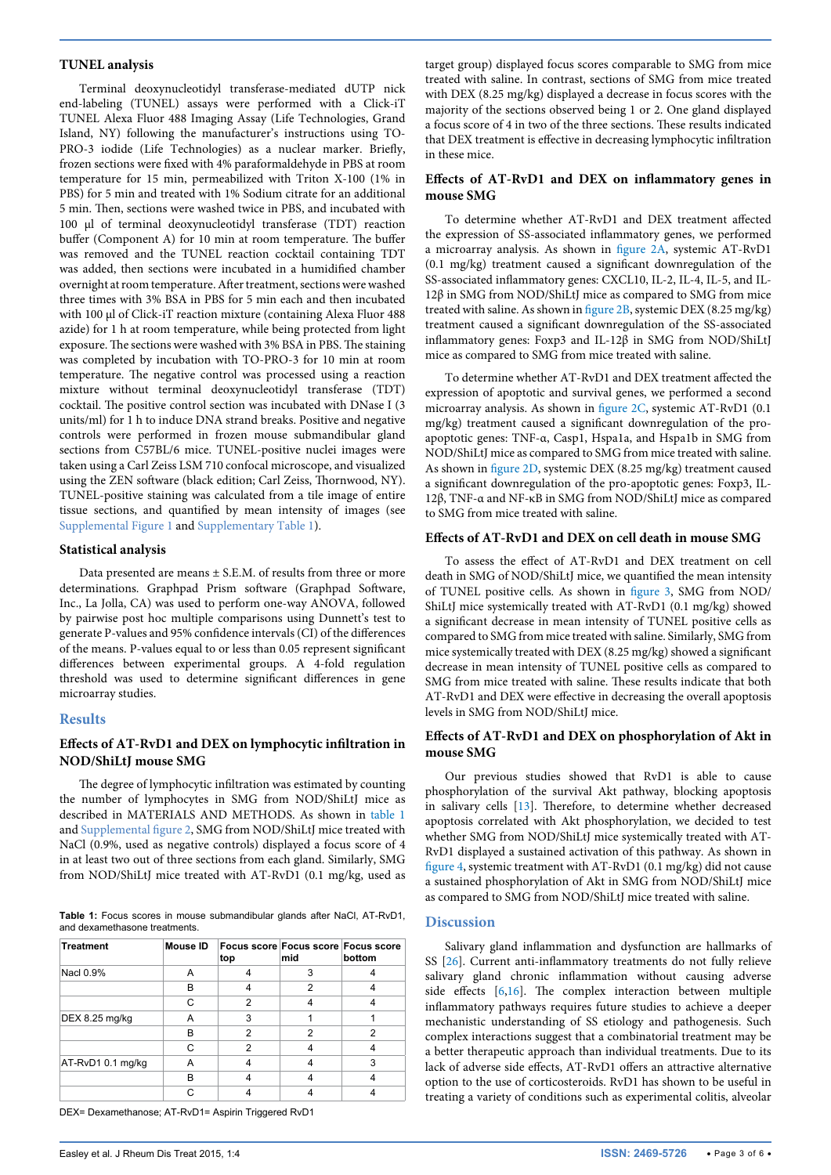#### **TUNEL analysis**

Terminal deoxynucleotidyl transferase-mediated dUTP nick end-labeling (TUNEL) assays were performed with a Click-iT TUNEL Alexa Fluor 488 Imaging Assay (Life Technologies, Grand Island, NY) following the manufacturer's instructions using TO-PRO-3 iodide (Life Technologies) as a nuclear marker. Briefly, frozen sections were fixed with 4% paraformaldehyde in PBS at room temperature for 15 min, permeabilized with Triton X-100 (1% in PBS) for 5 min and treated with 1% Sodium citrate for an additional 5 min. Then, sections were washed twice in PBS, and incubated with 100 μl of terminal deoxynucleotidyl transferase (TDT) reaction buffer (Component A) for 10 min at room temperature. The buffer was removed and the TUNEL reaction cocktail containing TDT was added, then sections were incubated in a humidified chamber overnight at room temperature. After treatment, sections were washed three times with 3% BSA in PBS for 5 min each and then incubated with 100 μl of Click-iT reaction mixture (containing Alexa Fluor 488 azide) for 1 h at room temperature, while being protected from light exposure. The sections were washed with 3% BSA in PBS. The staining was completed by incubation with TO-PRO-3 for 10 min at room temperature. The negative control was processed using a reaction mixture without terminal deoxynucleotidyl transferase (TDT) cocktail. The positive control section was incubated with DNase I (3 units/ml) for 1 h to induce DNA strand breaks. Positive and negative controls were performed in frozen mouse submandibular gland sections from C57BL/6 mice. TUNEL-positive nuclei images were taken using a Carl Zeiss LSM 710 confocal microscope, and visualized using the ZEN software (black edition; Carl Zeiss, Thornwood, NY). TUNEL-positive staining was calculated from a tile image of entire tissue sections, and quantified by mean intensity of images (see [Supplemental Figure 1](http://clinmedjournals.org/articles/jrdt/jrdt-1-027-supplemental-figures.doc) and [Supplementary Table 1](http://clinmedjournals.org/articles/jrdt/jrdt-1-027-supplemental-table1.html)).

#### **Statistical analysis**

Data presented are means ± S.E.M. of results from three or more determinations. Graphpad Prism software (Graphpad Software, Inc., La Jolla, CA) was used to perform one-way ANOVA, followed by pairwise post hoc multiple comparisons using Dunnett's test to generate P-values and 95% confidence intervals (CI) of the differences of the means. P-values equal to or less than 0.05 represent significant differences between experimental groups. A 4-fold regulation threshold was used to determine significant differences in gene microarray studies.

#### **Results**

# **Effects of AT-RvD1 and DEX on lymphocytic infiltration in NOD/ShiLtJ mouse SMG**

The degree of lymphocytic infiltration was estimated by counting the number of lymphocytes in SMG from NOD/ShiLtJ mice as described in MATERIALS AND METHODS. As shown in [table 1](#page-2-0) and [Supplemental figure 2,](http://clinmedjournals.org/articles/jrdt/jrdt-1-027-supplemental-figures.doc) SMG from NOD/ShiLtJ mice treated with NaCl (0.9%, used as negative controls) displayed a focus score of 4 in at least two out of three sections from each gland. Similarly, SMG from NOD/ShiLtJ mice treated with AT-RvD1 (0.1 mg/kg, used as

<span id="page-2-0"></span>**Table 1:** Focus scores in mouse submandibular glands after NaCl, AT-RvD1, and dexamethasone treatments.

| <b>Treatment</b>  | Mouse ID | top | mid | Focus score Focus score Focus score<br>bottom |
|-------------------|----------|-----|-----|-----------------------------------------------|
| Nacl 0.9%         | A        |     | 3   |                                               |
|                   | B        |     | 2   |                                               |
|                   | С        | 2   |     |                                               |
| DEX 8.25 mg/kg    | А        |     |     |                                               |
|                   | R        | 2   | 2   | 2                                             |
|                   | C        | 2   |     |                                               |
| AT-RvD1 0.1 mg/kg | А        |     |     | 3                                             |
|                   | R        |     |     |                                               |
|                   |          |     |     |                                               |

DEX= Dexamethanose; AT-RvD1= Aspirin Triggered RvD1

target group) displayed focus scores comparable to SMG from mice treated with saline. In contrast, sections of SMG from mice treated with DEX (8.25 mg/kg) displayed a decrease in focus scores with the majority of the sections observed being 1 or 2. One gland displayed a focus score of 4 in two of the three sections. These results indicated that DEX treatment is effective in decreasing lymphocytic infiltration in these mice.

## **Effects of AT-RvD1 and DEX on inflammatory genes in mouse SMG**

To determine whether AT-RvD1 and DEX treatment affected the expression of SS-associated inflammatory genes, we performed a microarray analysis. As shown in [figure 2A,](#page-3-0) systemic AT-RvD1 (0.1 mg/kg) treatment caused a significant downregulation of the SS-associated inflammatory genes: CXCL10, IL-2, IL-4, IL-5, and IL-12β in SMG from NOD/ShiLtJ mice as compared to SMG from mice treated with saline. As shown in [figure 2B](#page-3-0), systemic DEX (8.25 mg/kg) treatment caused a significant downregulation of the SS-associated inflammatory genes: Foxp3 and IL-12β in SMG from NOD/ShiLtJ mice as compared to SMG from mice treated with saline.

To determine whether AT-RvD1 and DEX treatment affected the expression of apoptotic and survival genes, we performed a second microarray analysis. As shown in [figure 2C,](#page-3-0) systemic AT-RvD1 (0.1 mg/kg) treatment caused a significant downregulation of the proapoptotic genes: TNF-α, Casp1, Hspa1a, and Hspa1b in SMG from NOD/ShiLtJ mice as compared to SMG from mice treated with saline. As shown in [figure 2D](#page-3-0), systemic DEX (8.25 mg/kg) treatment caused a significant downregulation of the pro-apoptotic genes: Foxp3, IL-12β, TNF-α and NF-κB in SMG from NOD/ShiLtJ mice as compared to SMG from mice treated with saline.

#### **Effects of AT-RvD1 and DEX on cell death in mouse SMG**

To assess the effect of AT-RvD1 and DEX treatment on cell death in SMG of NOD/ShiLtJ mice, we quantified the mean intensity of TUNEL positive cells. As shown in [figure 3](#page-4-3), SMG from NOD/ ShiLtJ mice systemically treated with AT-RvD1 (0.1 mg/kg) showed a significant decrease in mean intensity of TUNEL positive cells as compared to SMG from mice treated with saline. Similarly, SMG from mice systemically treated with DEX (8.25 mg/kg) showed a significant decrease in mean intensity of TUNEL positive cells as compared to SMG from mice treated with saline. These results indicate that both AT-RvD1 and DEX were effective in decreasing the overall apoptosis levels in SMG from NOD/ShiLtJ mice.

#### **Effects of AT-RvD1 and DEX on phosphorylation of Akt in mouse SMG**

Our previous studies showed that RvD1 is able to cause phosphorylation of the survival Akt pathway, blocking apoptosis in salivary cells [\[13\]](#page-5-7). Therefore, to determine whether decreased apoptosis correlated with Akt phosphorylation, we decided to test whether SMG from NOD/ShiLtJ mice systemically treated with AT-RvD1 displayed a sustained activation of this pathway. As shown in [figure 4,](#page-4-4) systemic treatment with AT-RvD1 (0.1 mg/kg) did not cause a sustained phosphorylation of Akt in SMG from NOD/ShiLtJ mice as compared to SMG from NOD/ShiLtJ mice treated with saline.

#### **Discussion**

Salivary gland inflammation and dysfunction are hallmarks of SS [[26](#page-5-19)]. Current anti-inflammatory treatments do not fully relieve salivary gland chronic inflammation without causing adverse side effects [\[6](#page-5-1),[16](#page-5-10)]. The complex interaction between multiple inflammatory pathways requires future studies to achieve a deeper mechanistic understanding of SS etiology and pathogenesis. Such complex interactions suggest that a combinatorial treatment may be a better therapeutic approach than individual treatments. Due to its lack of adverse side effects, AT-RvD1 offers an attractive alternative option to the use of corticosteroids. RvD1 has shown to be useful in treating a variety of conditions such as experimental colitis, alveolar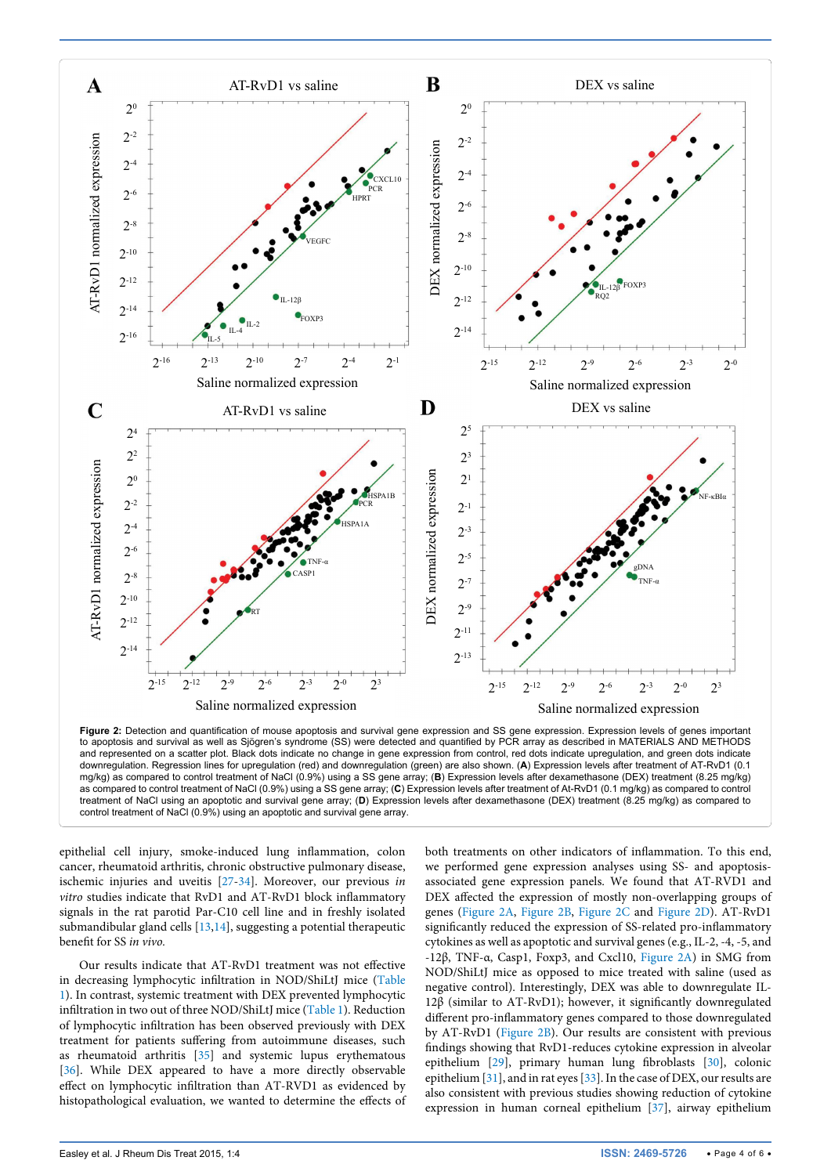

to apoptosis and survival as well as Sjögren's syndrome (SS) were detected and quantified by PCR array as described in MATERIALS AND METHODS and represented on a scatter plot. Black dots indicate no change in gene expression from control, red dots indicate upregulation, and green dots indicate downregulation. Regression lines for upregulation (red) and downregulation (green) are also shown. (**A**) Expression levels after treatment of AT-RvD1 (0.1 mg/kg) as compared to control treatment of NaCl (0.9%) using a SS gene array; (**B**) Expression levels after dexamethasone (DEX) treatment (8.25 mg/kg) as compared to control treatment of NaCl (0.9%) using a SS gene array; (**C**) Expression levels after treatment of At-RvD1 (0.1 mg/kg) as compared to control treatment of NaCl using an apoptotic and survival gene array; (**D**) Expression levels after dexamethasone (DEX) treatment (8.25 mg/kg) as compared to control treatment of NaCl (0.9%) using an apoptotic and survival gene array.

epithelial cell injury, smoke-induced lung inflammation, colon cancer, rheumatoid arthritis, chronic obstructive pulmonary disease, ischemic injuries and uveitis [[27-](#page-5-20)[34](#page-5-21)]. Moreover, our previous *in vitro* studies indicate that RvD1 and AT-RvD1 block inflammatory signals in the rat parotid Par-C10 cell line and in freshly isolated submandibular gland cells [[13](#page-5-7)[,14\]](#page-5-8), suggesting a potential therapeutic benefit for SS *in vivo.*

Our results indicate that AT-RvD1 treatment was not effective in decreasing lymphocytic infiltration in NOD/ShiLtJ mice [\(Table](#page-2-0)  [1\)](#page-2-0). In contrast, systemic treatment with DEX prevented lymphocytic infiltration in two out of three NOD/ShiLtJ mice ([Table 1](#page-2-0)). Reduction of lymphocytic infiltration has been observed previously with DEX treatment for patients suffering from autoimmune diseases, such as rheumatoid arthritis [[35\]](#page-5-22) and systemic lupus erythematous [[36](#page-5-23)]. While DEX appeared to have a more directly observable effect on lymphocytic infiltration than AT-RVD1 as evidenced by histopathological evaluation, we wanted to determine the effects of

both treatments on other indicators of inflammation. To this end, we performed gene expression analyses using SS- and apoptosisassociated gene expression panels. We found that AT-RVD1 and DEX affected the expression of mostly non-overlapping groups of genes [\(Figure 2A](#page-3-0), [Figure 2B](#page-3-0), [Figure 2C](#page-3-0) and [Figure 2D\)](#page-3-0). AT-RvD1 significantly reduced the expression of SS-related pro-inflammatory cytokines as well as apoptotic and survival genes (e.g., IL-2, -4, -5, and -12β, TNF-α, Casp1, Foxp3, and Cxcl10, [Figure 2A](#page-3-0)) in SMG from NOD/ShiLtJ mice as opposed to mice treated with saline (used as negative control). Interestingly, DEX was able to downregulate IL-12β (similar to AT-RvD1); however, it significantly downregulated different pro-inflammatory genes compared to those downregulated by AT-RvD1 ([Figure 2B\)](#page-3-0). Our results are consistent with previous findings showing that RvD1-reduces cytokine expression in alveolar epithelium [[29](#page-5-24)], primary human lung fibroblasts [[30](#page-5-25)], colonic epithelium [\[31](#page-5-26)], and in rat eyes [[33](#page-5-27)]. In the case of DEX, our results are also consistent with previous studies showing reduction of cytokine expression in human corneal epithelium [\[37\]](#page-5-28), airway epithelium

<span id="page-3-0"></span>٦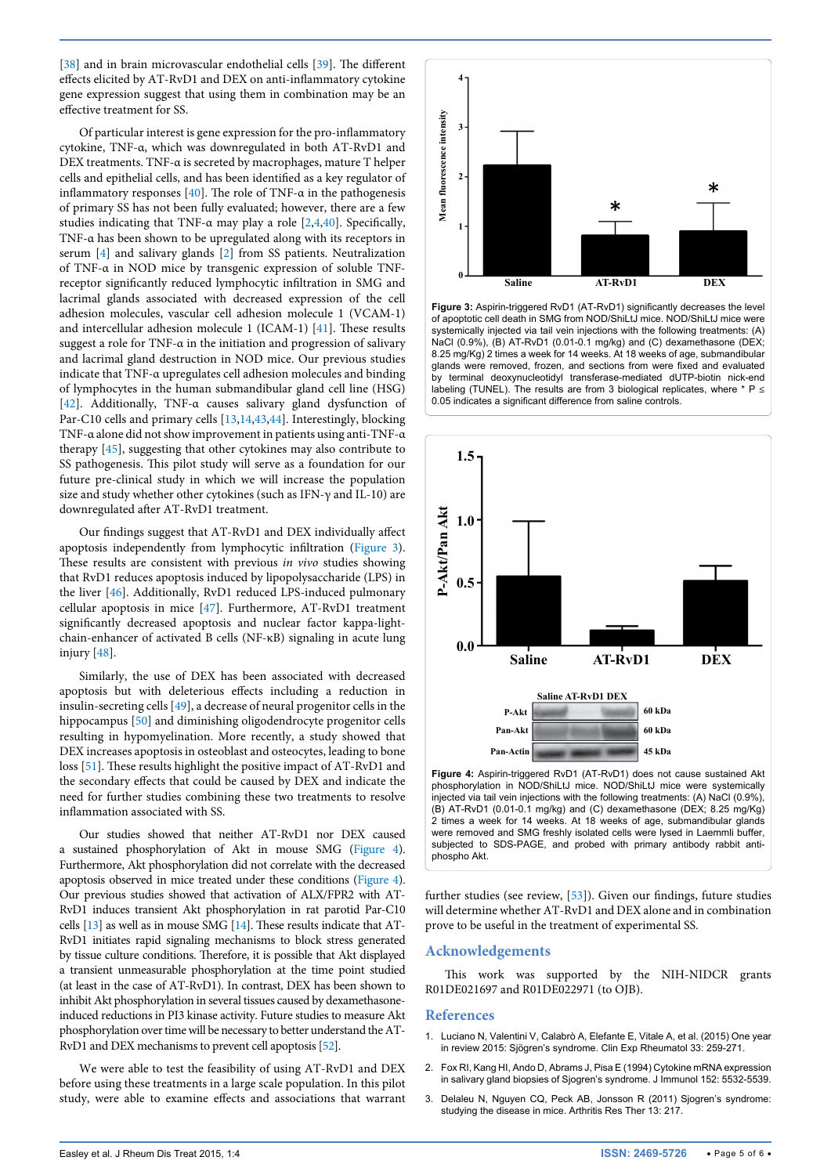[[38](#page-5-29)] and in brain microvascular endothelial cells [[39\]](#page-5-30). The different effects elicited by AT-RvD1 and DEX on anti-inflammatory cytokine gene expression suggest that using them in combination may be an effective treatment for SS.

Of particular interest is gene expression for the pro-inflammatory cytokine, TNF-α, which was downregulated in both AT-RvD1 and DEX treatments. TNF-α is secreted by macrophages, mature T helper cells and epithelial cells, and has been identified as a key regulator of inflammatory responses [\[40\]](#page-5-31). The role of TNF- $\alpha$  in the pathogenesis of primary SS has not been fully evaluated; however, there are a few studies indicating that TNF- $\alpha$  may play a role [[2](#page-4-1)[,4](#page-5-32)[,40](#page-5-31)]. Specifically, TNF-α has been shown to be upregulated along with its receptors in serum [[4\]](#page-5-32) and salivary glands [\[2](#page-4-1)] from SS patients. Neutralization of TNF-α in NOD mice by transgenic expression of soluble TNFreceptor significantly reduced lymphocytic infiltration in SMG and lacrimal glands associated with decreased expression of the cell adhesion molecules, vascular cell adhesion molecule 1 (VCAM-1) and intercellular adhesion molecule 1 (ICAM-1) [[41\]](#page-5-33). These results suggest a role for TNF-α in the initiation and progression of salivary and lacrimal gland destruction in NOD mice. Our previous studies indicate that TNF-α upregulates cell adhesion molecules and binding of lymphocytes in the human submandibular gland cell line (HSG) [[42](#page-5-34)]. Additionally, TNF-α causes salivary gland dysfunction of Par-C10 cells and primary cells [\[13,](#page-5-7)[14](#page-5-8)[,43](#page-5-35)[,44\]](#page-5-36). Interestingly, blocking TNF-α alone did not show improvement in patients using anti-TNF-α therapy [[45](#page-5-37)], suggesting that other cytokines may also contribute to SS pathogenesis. This pilot study will serve as a foundation for our future pre-clinical study in which we will increase the population size and study whether other cytokines (such as IFN-γ and IL-10) are downregulated after AT-RvD1 treatment.

Our findings suggest that AT-RvD1 and DEX individually affect apoptosis independently from lymphocytic infiltration ([Figure 3](#page-4-3)). These results are consistent with previous *in vivo* studies showing that RvD1 reduces apoptosis induced by lipopolysaccharide (LPS) in the liver [[46](#page-5-38)]. Additionally, RvD1 reduced LPS-induced pulmonary cellular apoptosis in mice [[47\]](#page-5-39). Furthermore, AT-RvD1 treatment significantly decreased apoptosis and nuclear factor kappa-lightchain-enhancer of activated B cells (NF-κB) signaling in acute lung injury [[48](#page-5-40)].

Similarly, the use of DEX has been associated with decreased apoptosis but with deleterious effects including a reduction in insulin-secreting cells [\[49\]](#page-5-41), a decrease of neural progenitor cells in the hippocampus [\[50\]](#page-5-42) and diminishing oligodendrocyte progenitor cells resulting in hypomyelination. More recently, a study showed that DEX increases apoptosis in osteoblast and osteocytes, leading to bone loss [\[51\]](#page-5-43). These results highlight the positive impact of AT-RvD1 and the secondary effects that could be caused by DEX and indicate the need for further studies combining these two treatments to resolve inflammation associated with SS.

Our studies showed that neither AT-RvD1 nor DEX caused a sustained phosphorylation of Akt in mouse SMG [\(Figure 4\)](#page-4-4). Furthermore, Akt phosphorylation did not correlate with the decreased apoptosis observed in mice treated under these conditions [\(Figure 4\)](#page-4-4). Our previous studies showed that activation of ALX/FPR2 with AT-RvD1 induces transient Akt phosphorylation in rat parotid Par-C10 cells [\[13\]](#page-5-7) as well as in mouse SMG [\[14\]](#page-5-8). These results indicate that AT-RvD1 initiates rapid signaling mechanisms to block stress generated by tissue culture conditions. Therefore, it is possible that Akt displayed a transient unmeasurable phosphorylation at the time point studied (at least in the case of AT-RvD1). In contrast, DEX has been shown to inhibit Akt phosphorylation in several tissues caused by dexamethasoneinduced reductions in PI3 kinase activity. Future studies to measure Akt phosphorylation over time will be necessary to better understand the AT-RvD1 and DEX mechanisms to prevent cell apoptosis [\[52](#page-5-44)].

We were able to test the feasibility of using AT-RvD1 and DEX before using these treatments in a large scale population. In this pilot study, were able to examine effects and associations that warrant

<span id="page-4-3"></span>

**Figure 3:** Aspirin-triggered RvD1 (AT-RvD1) significantly decreases the level of apoptotic cell death in SMG from NOD/ShiLtJ mice. NOD/ShiLtJ mice were systemically injected via tail vein injections with the following treatments: (A) NaCl (0.9%), (B) AT-RvD1 (0.01-0.1 mg/kg) and (C) dexamethasone (DEX; 8.25 mg/Kg) 2 times a week for 14 weeks. At 18 weeks of age, submandibular glands were removed, frozen, and sections from were fixed and evaluated by terminal deoxynucleotidyl transferase-mediated dUTP-biotin nick-end labeling (TUNEL). The results are from 3 biological replicates, where \* P **≤** 0.05 indicates a significant difference from saline controls.

<span id="page-4-4"></span>

2 times a week for 14 weeks. At 18 weeks of age, submandibular glands were removed and SMG freshly isolated cells were lysed in Laemmli buffer, subjected to SDS-PAGE, and probed with primary antibody rabbit antiphospho Akt.

further studies (see review, [\[53\]](#page-5-45)). Given our findings, future studies will determine whether AT-RvD1 and DEX alone and in combination prove to be useful in the treatment of experimental SS.

#### **Acknowledgements**

This work was supported by the NIH-NIDCR grants R01DE021697 and R01DE022971 (to OJB).

#### **References**

- <span id="page-4-0"></span>1. [Luciano N, Valentini V, Calabrò A, Elefante E, Vitale A, et al. \(2015\) One year](http://www.ncbi.nlm.nih.gov/pubmed/25896475)  [in review 2015: Sjögren's syndrome. Clin Exp Rheumatol 33: 259-271.](http://www.ncbi.nlm.nih.gov/pubmed/25896475)
- <span id="page-4-1"></span>2. [Fox RI, Kang HI, Ando D, Abrams J, Pisa E \(1994\) Cytokine mRNA expression](http://www.ncbi.nlm.nih.gov/pubmed/8189070)  [in salivary gland biopsies of Sjogren's syndrome. J Immunol 152: 5532-5539.](http://www.ncbi.nlm.nih.gov/pubmed/8189070)
- <span id="page-4-2"></span>3. [Delaleu N, Nguyen CQ, Peck AB, Jonsson R \(2011\) Sjogren's syndrome:](http://www.ncbi.nlm.nih.gov/pubmed/21672284)  [studying the disease in mice. Arthritis Res Ther 13: 217.](http://www.ncbi.nlm.nih.gov/pubmed/21672284)